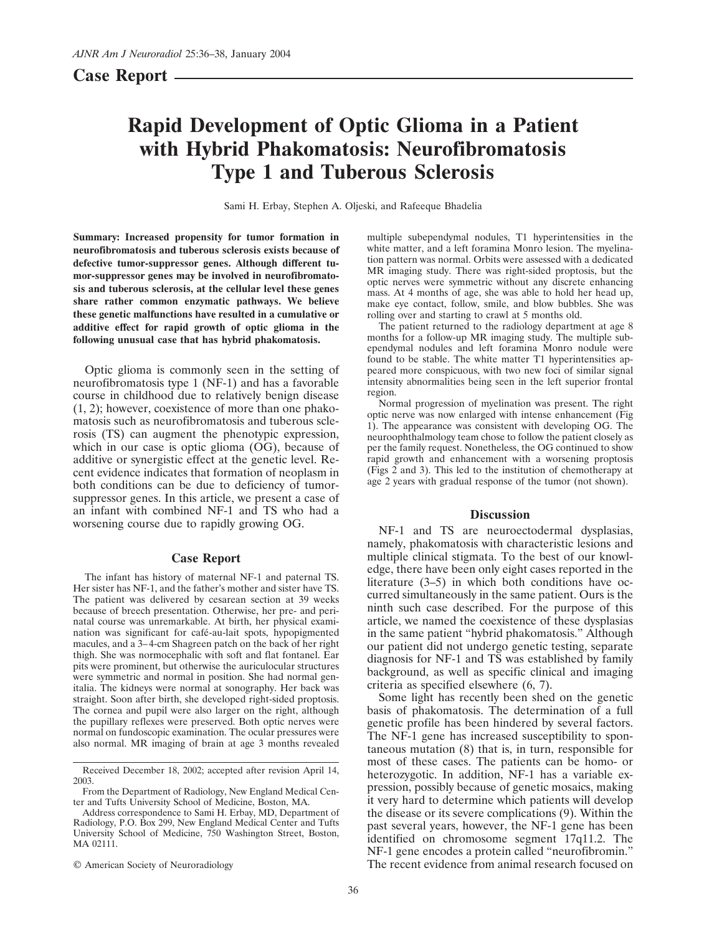**Case Report**

# **Rapid Development of Optic Glioma in a Patient with Hybrid Phakomatosis: Neurofibromatosis Type 1 and Tuberous Sclerosis**

Sami H. Erbay, Stephen A. Oljeski, and Rafeeque Bhadelia

**Summary: Increased propensity for tumor formation in neurofibromatosis and tuberous sclerosis exists because of defective tumor-suppressor genes. Although different tumor-suppressor genes may be involved in neurofibromatosis and tuberous sclerosis, at the cellular level these genes share rather common enzymatic pathways. We believe these genetic malfunctions have resulted in a cumulative or additive effect for rapid growth of optic glioma in the following unusual case that has hybrid phakomatosis.**

Optic glioma is commonly seen in the setting of neurofibromatosis type 1 (NF-1) and has a favorable course in childhood due to relatively benign disease (1, 2); however, coexistence of more than one phakomatosis such as neurofibromatosis and tuberous sclerosis (TS) can augment the phenotypic expression, which in our case is optic glioma (OG), because of additive or synergistic effect at the genetic level. Recent evidence indicates that formation of neoplasm in both conditions can be due to deficiency of tumorsuppressor genes. In this article, we present a case of an infant with combined NF-1 and TS who had a worsening course due to rapidly growing OG.

## **Case Report**

The infant has history of maternal NF-1 and paternal TS. Her sister has NF-1, and the father's mother and sister have TS. The patient was delivered by cesarean section at 39 weeks because of breech presentation. Otherwise, her pre- and perinatal course was unremarkable. At birth, her physical examination was significant for café-au-lait spots, hypopigmented macules, and a 3–4-cm Shagreen patch on the back of her right thigh. She was normocephalic with soft and flat fontanel. Ear pits were prominent, but otherwise the auriculocular structures were symmetric and normal in position. She had normal genitalia. The kidneys were normal at sonography. Her back was straight. Soon after birth, she developed right-sided proptosis. The cornea and pupil were also larger on the right, although the pupillary reflexes were preserved. Both optic nerves were normal on fundoscopic examination. The ocular pressures were also normal. MR imaging of brain at age 3 months revealed

© American Society of Neuroradiology

multiple subependymal nodules, T1 hyperintensities in the white matter, and a left foramina Monro lesion. The myelination pattern was normal. Orbits were assessed with a dedicated MR imaging study. There was right-sided proptosis, but the optic nerves were symmetric without any discrete enhancing mass. At 4 months of age, she was able to hold her head up, make eye contact, follow, smile, and blow bubbles. She was rolling over and starting to crawl at 5 months old.

The patient returned to the radiology department at age 8 months for a follow-up MR imaging study. The multiple subependymal nodules and left foramina Monro nodule were found to be stable. The white matter T1 hyperintensities appeared more conspicuous, with two new foci of similar signal intensity abnormalities being seen in the left superior frontal region.

Normal progression of myelination was present. The right optic nerve was now enlarged with intense enhancement (Fig 1). The appearance was consistent with developing OG. The neuroophthalmology team chose to follow the patient closely as per the family request. Nonetheless, the OG continued to show rapid growth and enhancement with a worsening proptosis (Figs 2 and 3). This led to the institution of chemotherapy at age 2 years with gradual response of the tumor (not shown).

## **Discussion**

NF-1 and TS are neuroectodermal dysplasias, namely, phakomatosis with characteristic lesions and multiple clinical stigmata. To the best of our knowledge, there have been only eight cases reported in the literature (3–5) in which both conditions have occurred simultaneously in the same patient. Ours is the ninth such case described. For the purpose of this article, we named the coexistence of these dysplasias in the same patient "hybrid phakomatosis." Although our patient did not undergo genetic testing, separate diagnosis for NF-1 and TS was established by family background, as well as specific clinical and imaging criteria as specified elsewhere (6, 7).

Some light has recently been shed on the genetic basis of phakomatosis. The determination of a full genetic profile has been hindered by several factors. The NF-1 gene has increased susceptibility to spontaneous mutation (8) that is, in turn, responsible for most of these cases. The patients can be homo- or heterozygotic. In addition, NF-1 has a variable expression, possibly because of genetic mosaics, making it very hard to determine which patients will develop the disease or its severe complications (9). Within the past several years, however, the NF-1 gene has been identified on chromosome segment 17q11.2. The NF-1 gene encodes a protein called "neurofibromin." The recent evidence from animal research focused on

Received December 18, 2002; accepted after revision April 14, 2003.

From the Department of Radiology, New England Medical Center and Tufts University School of Medicine, Boston, MA.

Address correspondence to Sami H. Erbay, MD, Department of Radiology, P.O. Box 299, New England Medical Center and Tufts University School of Medicine, 750 Washington Street, Boston, MA 02111.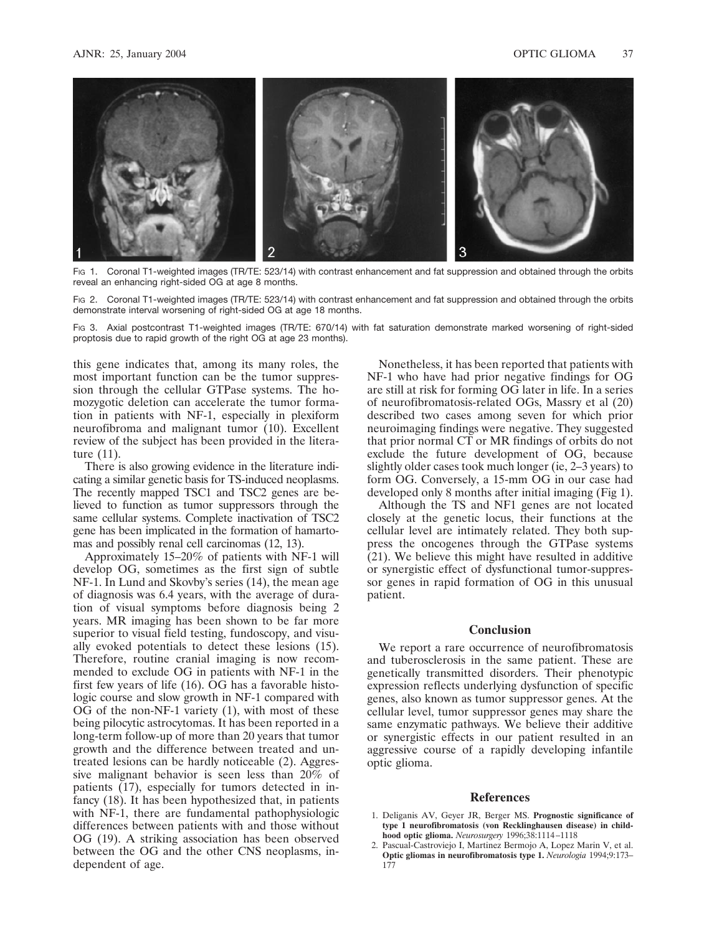

Fig 1. Coronal T1-weighted images (TR/TE: 523/14) with contrast enhancement and fat suppression and obtained through the orbits reveal an enhancing right-sided OG at age 8 months.

FIG 2. Coronal T1-weighted images (TR/TE: 523/14) with contrast enhancement and fat suppression and obtained through the orbits demonstrate interval worsening of right-sided OG at age 18 months.

FIG 3. Axial postcontrast T1-weighted images (TR/TE: 670/14) with fat saturation demonstrate marked worsening of right-sided proptosis due to rapid growth of the right OG at age 23 months).

this gene indicates that, among its many roles, the most important function can be the tumor suppression through the cellular GTPase systems. The homozygotic deletion can accelerate the tumor formation in patients with NF-1, especially in plexiform neurofibroma and malignant tumor (10). Excellent review of the subject has been provided in the literature (11).

There is also growing evidence in the literature indicating a similar genetic basis for TS-induced neoplasms. The recently mapped TSC1 and TSC2 genes are believed to function as tumor suppressors through the same cellular systems. Complete inactivation of TSC2 gene has been implicated in the formation of hamartomas and possibly renal cell carcinomas (12, 13).

Approximately 15–20% of patients with NF-1 will develop OG, sometimes as the first sign of subtle NF-1. In Lund and Skovby's series (14), the mean age of diagnosis was 6.4 years, with the average of duration of visual symptoms before diagnosis being 2 years. MR imaging has been shown to be far more superior to visual field testing, fundoscopy, and visually evoked potentials to detect these lesions (15). Therefore, routine cranial imaging is now recommended to exclude OG in patients with NF-1 in the first few years of life (16). OG has a favorable histologic course and slow growth in NF-1 compared with OG of the non-NF-1 variety (1), with most of these being pilocytic astrocytomas. It has been reported in a long-term follow-up of more than 20 years that tumor growth and the difference between treated and untreated lesions can be hardly noticeable (2). Aggressive malignant behavior is seen less than 20% of patients (17), especially for tumors detected in infancy (18). It has been hypothesized that, in patients with NF-1, there are fundamental pathophysiologic differences between patients with and those without OG (19). A striking association has been observed between the OG and the other CNS neoplasms, independent of age.

Nonetheless, it has been reported that patients with NF-1 who have had prior negative findings for OG are still at risk for forming OG later in life. In a series of neurofibromatosis-related OGs, Massry et al (20) described two cases among seven for which prior neuroimaging findings were negative. They suggested that prior normal CT or MR findings of orbits do not exclude the future development of OG, because slightly older cases took much longer (ie, 2–3 years) to form OG. Conversely, a 15-mm OG in our case had developed only 8 months after initial imaging (Fig 1).

Although the TS and NF1 genes are not located closely at the genetic locus, their functions at the cellular level are intimately related. They both suppress the oncogenes through the GTPase systems (21). We believe this might have resulted in additive or synergistic effect of dysfunctional tumor-suppressor genes in rapid formation of OG in this unusual patient.

## **Conclusion**

We report a rare occurrence of neurofibromatosis and tuberosclerosis in the same patient. These are genetically transmitted disorders. Their phenotypic expression reflects underlying dysfunction of specific genes, also known as tumor suppressor genes. At the cellular level, tumor suppressor genes may share the same enzymatic pathways. We believe their additive or synergistic effects in our patient resulted in an aggressive course of a rapidly developing infantile optic glioma.

#### **References**

- 1. Deliganis AV, Geyer JR, Berger MS. **Prognostic significance of type 1 neurofibromatosis (von Recklinghausen disease) in childhood optic glioma.** *Neurosurgery* 1996;38:1114–1118
- 2. Pascual-Castroviejo I, Martinez Bermojo A, Lopez Marin V, et al. **Optic gliomas in neurofibromatosis type 1.** *Neurologia* 1994;9:173– 177